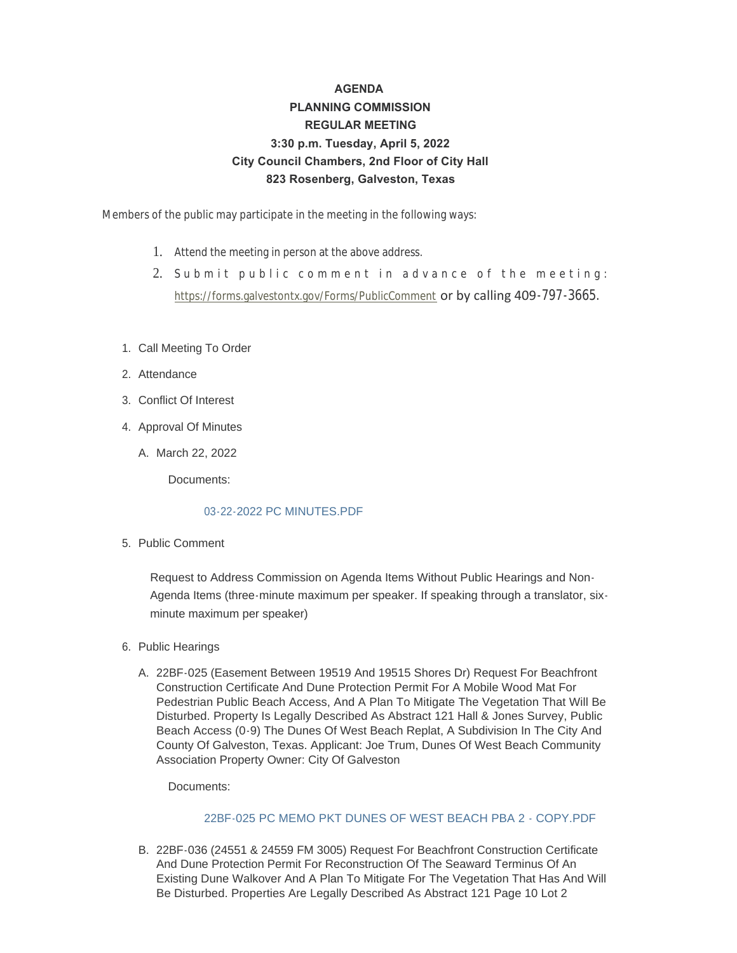# **AGENDA PLANNING COMMISSION REGULAR MEETING 3:30 p.m. Tuesday, April 5, 2022 City Council Chambers, 2nd Floor of City Hall 823 Rosenberg, Galveston, Texas**

Members of the public may participate in the meeting in the following ways:

- 1. Attend the meeting in person at the above address.
- 2. [Submit public comment in adva](https://forms.galvestontx.gov/Forms/PublicComment)nce of the meeting: https://forms.galvestontx.gov/Forms/PublicComment or by calling 409-797-3665.
- 1. Call Meeting To Order
- 2. Attendance
- Conflict Of Interest 3.
- 4. Approval Of Minutes
	- A. March 22, 2022

Documents:

### [03-22-2022 PC MINUTES.PDF](https://www.galvestontx.gov/AgendaCenter/ViewFile/Item/14007?fileID=32601)

5. Public Comment

Request to Address Commission on Agenda Items Without Public Hearings and Non-Agenda Items (three-minute maximum per speaker. If speaking through a translator, sixminute maximum per speaker)

- 6. Public Hearings
	- A. 22BF-025 (Easement Between 19519 And 19515 Shores Dr) Request For Beachfront Construction Certificate And Dune Protection Permit For A Mobile Wood Mat For Pedestrian Public Beach Access, And A Plan To Mitigate The Vegetation That Will Be Disturbed. Property Is Legally Described As Abstract 121 Hall & Jones Survey, Public Beach Access (0-9) The Dunes Of West Beach Replat, A Subdivision In The City And County Of Galveston, Texas. Applicant: Joe Trum, Dunes Of West Beach Community Association Property Owner: City Of Galveston

Documents:

### 22BF-025 PC MEMO PKT DUNES OF WEST BEACH PBA 2 - COPY PDF

B. 22BF-036 (24551 & 24559 FM 3005) Request For Beachfront Construction Certificate And Dune Protection Permit For Reconstruction Of The Seaward Terminus Of An Existing Dune Walkover And A Plan To Mitigate For The Vegetation That Has And Will Be Disturbed. Properties Are Legally Described As Abstract 121 Page 10 Lot 2